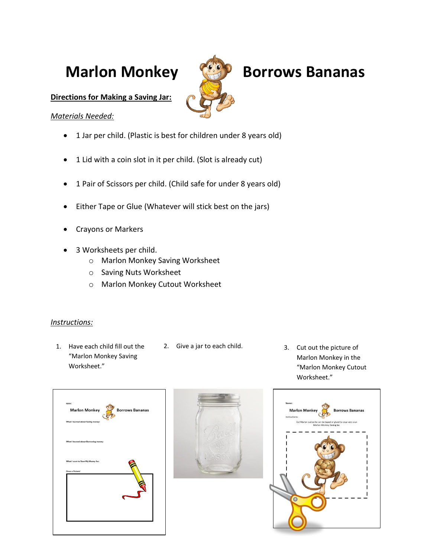

## **Marlon Monkey (1999) Borrows Bananas**

**Directions for Making a Saving Jar:**

## *Materials Needed:*

- 1 Jar per child. (Plastic is best for children under 8 years old)
- 1 Lid with a coin slot in it per child. (Slot is already cut)
- 1 Pair of Scissors per child. (Child safe for under 8 years old)
- Either Tape or Glue (Whatever will stick best on the jars)
- Crayons or Markers
- 3 Worksheets per child.
	- o Marlon Monkey Saving Worksheet
	- o Saving Nuts Worksheet
	- o Marlon Monkey Cutout Worksheet

## *Instructions:*

- 1. Have each child fill out the "Marlon Monkey Saving Worksheet."
- 2. Give a jar to each child. 3. Cut out the picture of
	- Marlon Monkey in the "Marlon Monkey Cutout Worksheet."